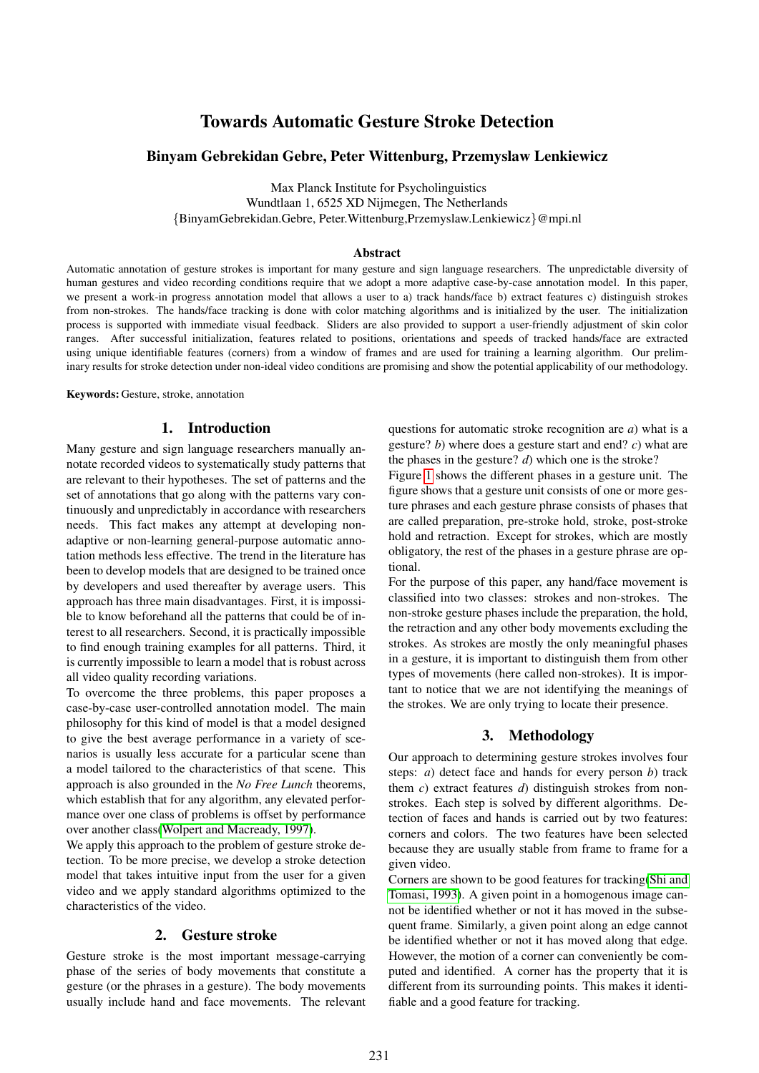# Towards Automatic Gesture Stroke Detection

#### Binyam Gebrekidan Gebre, Peter Wittenburg, Przemyslaw Lenkiewicz

Max Planck Institute for Psycholinguistics Wundtlaan 1, 6525 XD Nijmegen, The Netherlands {BinyamGebrekidan.Gebre, Peter.Wittenburg,Przemyslaw.Lenkiewicz}@mpi.nl

#### Abstract

Automatic annotation of gesture strokes is important for many gesture and sign language researchers. The unpredictable diversity of human gestures and video recording conditions require that we adopt a more adaptive case-by-case annotation model. In this paper, we present a work-in progress annotation model that allows a user to a) track hands/face b) extract features c) distinguish strokes from non-strokes. The hands/face tracking is done with color matching algorithms and is initialized by the user. The initialization process is supported with immediate visual feedback. Sliders are also provided to support a user-friendly adjustment of skin color ranges. After successful initialization, features related to positions, orientations and speeds of tracked hands/face are extracted using unique identifiable features (corners) from a window of frames and are used for training a learning algorithm. Our preliminary results for stroke detection under non-ideal video conditions are promising and show the potential applicability of our methodology.

Keywords: Gesture, stroke, annotation

#### 1. Introduction

Many gesture and sign language researchers manually annotate recorded videos to systematically study patterns that are relevant to their hypotheses. The set of patterns and the set of annotations that go along with the patterns vary continuously and unpredictably in accordance with researchers needs. This fact makes any attempt at developing nonadaptive or non-learning general-purpose automatic annotation methods less effective. The trend in the literature has been to develop models that are designed to be trained once by developers and used thereafter by average users. This approach has three main disadvantages. First, it is impossible to know beforehand all the patterns that could be of interest to all researchers. Second, it is practically impossible to find enough training examples for all patterns. Third, it is currently impossible to learn a model that is robust across all video quality recording variations.

To overcome the three problems, this paper proposes a case-by-case user-controlled annotation model. The main philosophy for this kind of model is that a model designed to give the best average performance in a variety of scenarios is usually less accurate for a particular scene than a model tailored to the characteristics of that scene. This approach is also grounded in the *No Free Lunch* theorems, which establish that for any algorithm, any elevated performance over one class of problems is offset by performance over another class[\(Wolpert and Macready, 1997\)](#page-4-0).

We apply this approach to the problem of gesture stroke detection. To be more precise, we develop a stroke detection model that takes intuitive input from the user for a given video and we apply standard algorithms optimized to the characteristics of the video.

#### 2. Gesture stroke

Gesture stroke is the most important message-carrying phase of the series of body movements that constitute a gesture (or the phrases in a gesture). The body movements usually include hand and face movements. The relevant questions for automatic stroke recognition are *a*) what is a gesture? *b*) where does a gesture start and end? *c*) what are the phases in the gesture? *d*) which one is the stroke?

Figure [1](#page-1-0) shows the different phases in a gesture unit. The figure shows that a gesture unit consists of one or more gesture phrases and each gesture phrase consists of phases that are called preparation, pre-stroke hold, stroke, post-stroke hold and retraction. Except for strokes, which are mostly obligatory, the rest of the phases in a gesture phrase are optional.

For the purpose of this paper, any hand/face movement is classified into two classes: strokes and non-strokes. The non-stroke gesture phases include the preparation, the hold, the retraction and any other body movements excluding the strokes. As strokes are mostly the only meaningful phases in a gesture, it is important to distinguish them from other types of movements (here called non-strokes). It is important to notice that we are not identifying the meanings of the strokes. We are only trying to locate their presence.

#### 3. Methodology

Our approach to determining gesture strokes involves four steps: *a*) detect face and hands for every person *b*) track them *c*) extract features *d*) distinguish strokes from nonstrokes. Each step is solved by different algorithms. Detection of faces and hands is carried out by two features: corners and colors. The two features have been selected because they are usually stable from frame to frame for a given video.

Corners are shown to be good features for tracking[\(Shi and](#page-4-1) [Tomasi, 1993\)](#page-4-1). A given point in a homogenous image cannot be identified whether or not it has moved in the subsequent frame. Similarly, a given point along an edge cannot be identified whether or not it has moved along that edge. However, the motion of a corner can conveniently be computed and identified. A corner has the property that it is different from its surrounding points. This makes it identifiable and a good feature for tracking.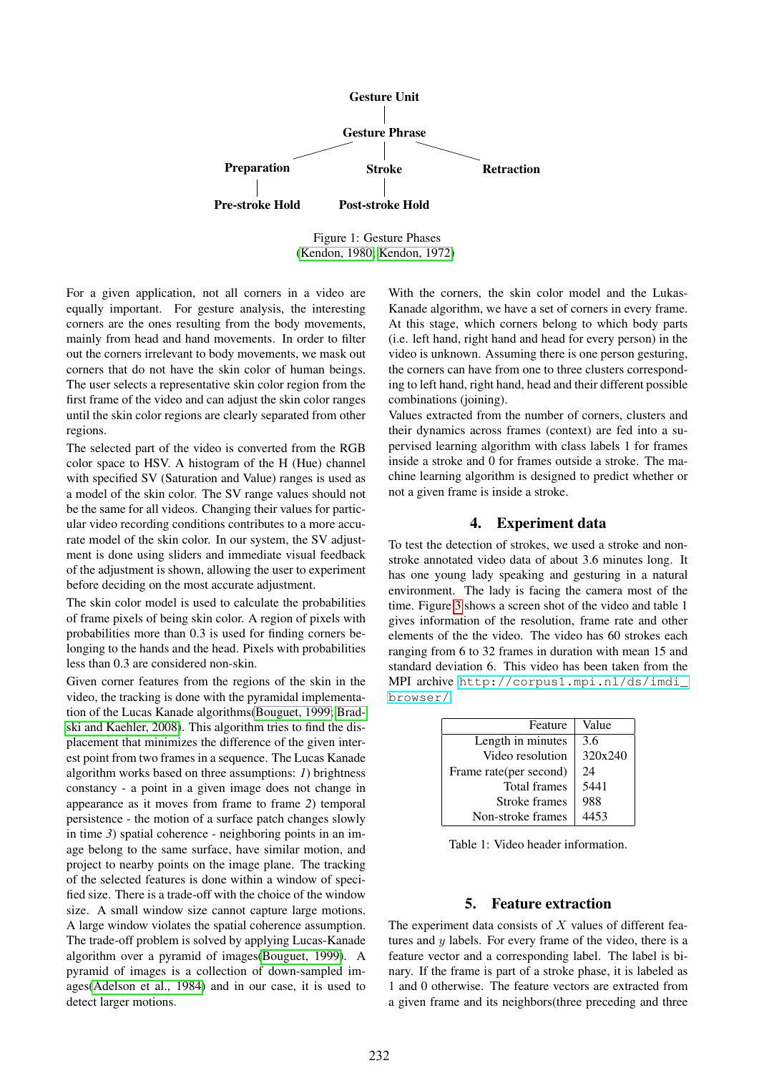

Figure 1: Gesture Phases [\(Kendon, 1980;](#page-4-2) [Kendon, 1972\)](#page-4-3)

For a given application, not all corners in a video are equally important. For gesture analysis, the interesting corners are the ones resulting from the body movements, mainly from head and hand movements. In order to filter out the corners irrelevant to body movements, we mask out corners that do not have the skin color of human beings. The user selects a representative skin color region from the first frame of the video and can adjust the skin color ranges until the skin color regions are clearly separated from other regions.

The selected part of the video is converted from the RGB color space to HSV. A histogram of the H (Hue) channel with specified SV (Saturation and Value) ranges is used as a model of the skin color. The SV range values should not be the same for all videos. Changing their values for particular video recording conditions contributes to a more accurate model of the skin color. In our system, the SV adjustment is done using sliders and immediate visual feedback of the adjustment is shown, allowing the user to experiment before deciding on the most accurate adjustment.

The skin color model is used to calculate the probabilities of frame pixels of being skin color. A region of pixels with probabilities more than 0.3 is used for finding corners belonging to the hands and the head. Pixels with probabilities less than 0.3 are considered non-skin.

Given corner features from the regions of the skin in the video, the tracking is done with the pyramidal implementation of the Lucas Kanade algorithms[\(Bouguet, 1999;](#page-4-4) [Brad](#page-4-5)[ski and Kaehler, 2008\)](#page-4-5). This algorithm tries to find the displacement that minimizes the difference of the given interest point from two frames in a sequence. The Lucas Kanade algorithm works based on three assumptions: *1*) brightness constancy - a point in a given image does not change in appearance as it moves from frame to frame *2*) temporal persistence - the motion of a surface patch changes slowly in time 3) spatial coherence - neighboring points in an image belong to the same surface, have similar motion, and project to nearby points on the image plane. The tracking of the selected features is done within a window of specified size. There is a trade-off with the choice of the window size. A small window size cannot capture large motions. A large window violates the spatial coherence assumption. The trade-off problem is solved by applying Lucas-Kanade algorithm over a pyramid of images[\(Bouguet, 1999\)](#page-4-4). A pyramid of images is a collection of down-sampled images[\(Adelson et al., 1984\)](#page-4-6) and in our case, it is used to detect larger motions.

<span id="page-1-0"></span>With the corners, the skin color model and the Lukas-Kanade algorithm, we have a set of corners in every frame. At this stage, which corners belong to which body parts (i.e. left hand, right hand and head for every person) in the video is unknown. Assuming there is one person gesturing, the corners can have from one to three clusters corresponding to left hand, right hand, head and their different possible combinations (joining).

Values extracted from the number of corners, clusters and their dynamics across frames (context) are fed into a supervised learning algorithm with class labels 1 for frames inside a stroke and 0 for frames outside a stroke. The machine learning algorithm is designed to predict whether or not a given frame is inside a stroke.

## 4. Experiment data

To test the detection of strokes, we used a stroke and nonstroke annotated video data of about 3.6 minutes long. It has one young lady speaking and gesturing in a natural environment. The lady is facing the camera most of the time. Figure [3](#page-2-0) shows a screen shot of the video and table 1 gives information of the resolution, frame rate and other elements of the the video. The video has 60 strokes each ranging from 6 to 32 frames in duration with mean 15 and standard deviation 6. This video has been taken from the MPI archive [http://corpus1.mpi.nl/ds/imdi\\_](http://corpus1.mpi.nl/ds/imdi_browser/) [browser/](http://corpus1.mpi.nl/ds/imdi_browser/).

| Feature                | Value   |
|------------------------|---------|
| Length in minutes      | 3.6     |
| Video resolution       | 320x240 |
| Frame rate(per second) | 24      |
| <b>Total frames</b>    | 5441    |
| Stroke frames          | 988     |
| Non-stroke frames      | 4453    |
|                        |         |

Table 1: Video header information.

### 5. Feature extraction

The experiment data consists of  $X$  values of different features and  $y$  labels. For every frame of the video, there is a feature vector and a corresponding label. The label is binary. If the frame is part of a stroke phase, it is labeled as 1 and 0 otherwise. The feature vectors are extracted from a given frame and its neighbors(three preceding and three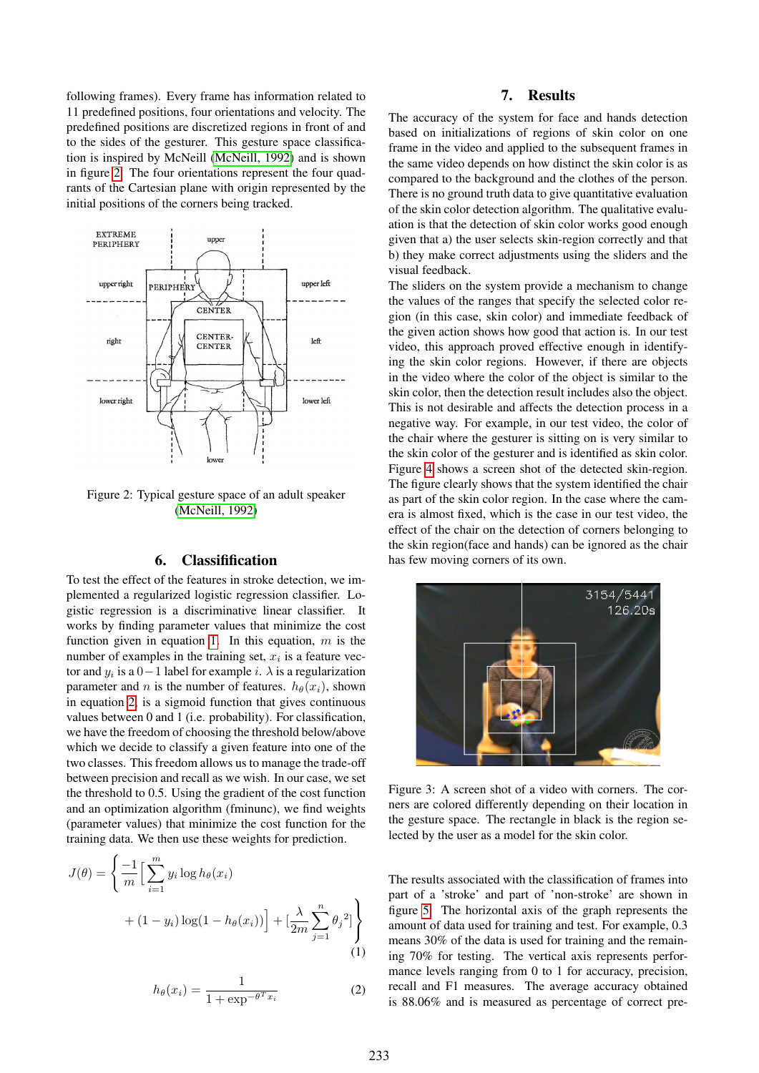following frames). Every frame has information related to 11 predefined positions, four orientations and velocity. The predefined positions are discretized regions in front of and to the sides of the gesturer. This gesture space classification is inspired by McNeill [\(McNeill, 1992\)](#page-4-7) and is shown in figure [2.](#page-2-1) The four orientations represent the four quadrants of the Cartesian plane with origin represented by the initial positions of the corners being tracked.



<span id="page-2-1"></span>Figure 2: Typical gesture space of an adult speaker [\(McNeill, 1992\)](#page-4-7)

#### 6. Classifification

To test the effect of the features in stroke detection, we implemented a regularized logistic regression classifier. Logistic regression is a discriminative linear classifier. It works by finding parameter values that minimize the cost function given in equation [1.](#page-2-2) In this equation,  $m$  is the number of examples in the training set,  $x_i$  is a feature vector and  $y_i$  is a  $0-1$  label for example i.  $\lambda$  is a regularization parameter and n is the number of features.  $h_{\theta}(x_i)$ , shown in equation [2,](#page-2-3) is a sigmoid function that gives continuous values between 0 and 1 (i.e. probability). For classification, we have the freedom of choosing the threshold below/above which we decide to classify a given feature into one of the two classes. This freedom allows us to manage the trade-off between precision and recall as we wish. In our case, we set the threshold to 0.5. Using the gradient of the cost function and an optimization algorithm (fminunc), we find weights (parameter values) that minimize the cost function for the training data. We then use these weights for prediction.

$$
J(\theta) = \left\{ \frac{-1}{m} \Big[ \sum_{i=1}^{m} y_i \log h_{\theta}(x_i) + (1 - y_i) \log(1 - h_{\theta}(x_i)) \Big] + \Big[ \frac{\lambda}{2m} \sum_{j=1}^{n} \theta_j^2 \Big] \right\}
$$
(1)

$$
h_{\theta}(x_i) = \frac{1}{1 + \exp^{-\theta^T x_i}}\tag{2}
$$

## 7. Results

The accuracy of the system for face and hands detection based on initializations of regions of skin color on one frame in the video and applied to the subsequent frames in the same video depends on how distinct the skin color is as compared to the background and the clothes of the person. There is no ground truth data to give quantitative evaluation of the skin color detection algorithm. The qualitative evaluation is that the detection of skin color works good enough given that a) the user selects skin-region correctly and that b) they make correct adjustments using the sliders and the visual feedback.

The sliders on the system provide a mechanism to change the values of the ranges that specify the selected color region (in this case, skin color) and immediate feedback of the given action shows how good that action is. In our test video, this approach proved effective enough in identifying the skin color regions. However, if there are objects in the video where the color of the object is similar to the skin color, then the detection result includes also the object. This is not desirable and affects the detection process in a negative way. For example, in our test video, the color of the chair where the gesturer is sitting on is very similar to the skin color of the gesturer and is identified as skin color. Figure [4](#page-3-0) shows a screen shot of the detected skin-region. The figure clearly shows that the system identified the chair as part of the skin color region. In the case where the camera is almost fixed, which is the case in our test video, the effect of the chair on the detection of corners belonging to the skin region(face and hands) can be ignored as the chair has few moving corners of its own.



Figure 3: A screen shot of a video with corners. The corners are colored differently depending on their location in the gesture space. The rectangle in black is the region selected by the user as a model for the skin color.

<span id="page-2-3"></span><span id="page-2-2"></span><span id="page-2-0"></span>The results associated with the classification of frames into part of a 'stroke' and part of 'non-stroke' are shown in figure [5.](#page-3-1) The horizontal axis of the graph represents the amount of data used for training and test. For example, 0.3 means 30% of the data is used for training and the remaining 70% for testing. The vertical axis represents performance levels ranging from 0 to 1 for accuracy, precision, recall and F1 measures. The average accuracy obtained is 88.06% and is measured as percentage of correct pre-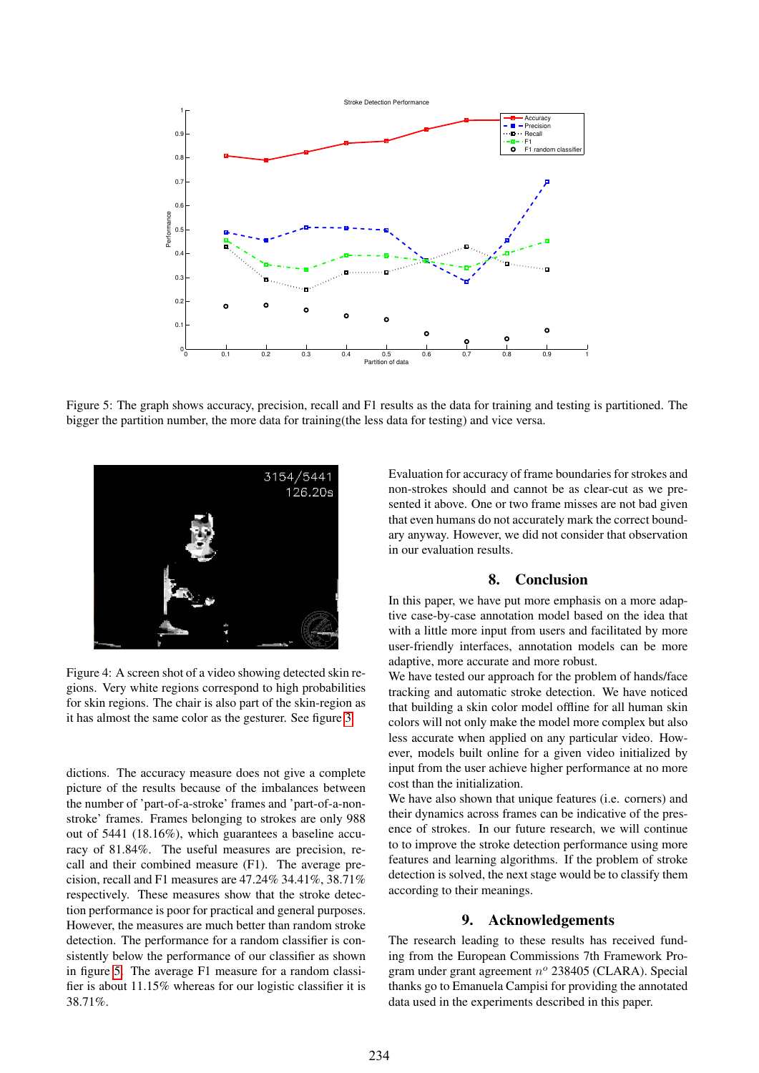

<span id="page-3-1"></span>Figure 5: The graph shows accuracy, precision, recall and F1 results as the data for training and testing is partitioned. The bigger the partition number, the more data for training(the less data for testing) and vice versa.



<span id="page-3-0"></span>Figure 4: A screen shot of a video showing detected skin regions. Very white regions correspond to high probabilities for skin regions. The chair is also part of the skin-region as it has almost the same color as the gesturer. See figure [3](#page-2-0)

dictions. The accuracy measure does not give a complete picture of the results because of the imbalances between the number of 'part-of-a-stroke' frames and 'part-of-a-nonstroke' frames. Frames belonging to strokes are only 988 out of 5441 (18.16%), which guarantees a baseline accuracy of 81.84%. The useful measures are precision, recall and their combined measure (F1). The average precision, recall and F1 measures are 47.24% 34.41%, 38.71% respectively. These measures show that the stroke detection performance is poor for practical and general purposes. However, the measures are much better than random stroke detection. The performance for a random classifier is consistently below the performance of our classifier as shown in figure [5.](#page-3-1) The average F1 measure for a random classifier is about 11.15% whereas for our logistic classifier it is 38.71%.

Evaluation for accuracy of frame boundaries for strokes and non-strokes should and cannot be as clear-cut as we presented it above. One or two frame misses are not bad given that even humans do not accurately mark the correct boundary anyway. However, we did not consider that observation in our evaluation results.

## 8. Conclusion

In this paper, we have put more emphasis on a more adaptive case-by-case annotation model based on the idea that with a little more input from users and facilitated by more user-friendly interfaces, annotation models can be more adaptive, more accurate and more robust.

We have tested our approach for the problem of hands/face tracking and automatic stroke detection. We have noticed that building a skin color model offline for all human skin colors will not only make the model more complex but also less accurate when applied on any particular video. However, models built online for a given video initialized by input from the user achieve higher performance at no more cost than the initialization.

We have also shown that unique features (i.e. corners) and their dynamics across frames can be indicative of the presence of strokes. In our future research, we will continue to to improve the stroke detection performance using more features and learning algorithms. If the problem of stroke detection is solved, the next stage would be to classify them according to their meanings.

## 9. Acknowledgements

The research leading to these results has received funding from the European Commissions 7th Framework Program under grant agreement  $n^{\circ}$  238405 (CLARA). Special thanks go to Emanuela Campisi for providing the annotated data used in the experiments described in this paper.